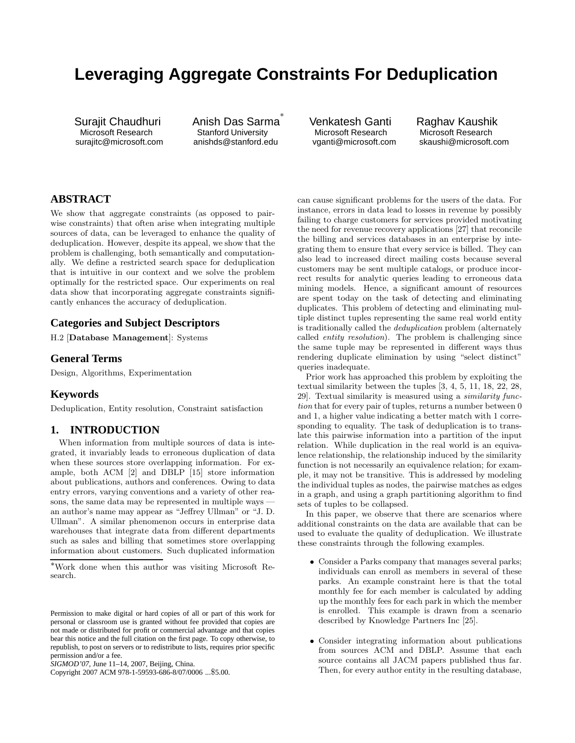# **Leveraging Aggregate Constraints For Deduplication**

Surajit Chaudhuri Anish Das Sarn<br>Microsoft Research Stanford University

Anish Das Sarma surajitc@microsoft.com anishds@stanford.edu vganti@microsoft.com skaushi@microsoft.com

Venkatesh Ganti Raghav Kaushik Microsoft Research

# **ABSTRACT**

We show that aggregate constraints (as opposed to pairwise constraints) that often arise when integrating multiple sources of data, can be leveraged to enhance the quality of deduplication. However, despite its appeal, we show that the problem is challenging, both semantically and computationally. We define a restricted search space for deduplication that is intuitive in our context and we solve the problem optimally for the restricted space. Our experiments on real data show that incorporating aggregate constraints significantly enhances the accuracy of deduplication.

# **Categories and Subject Descriptors**

H.2 [Database Management]: Systems

#### **General Terms**

Design, Algorithms, Experimentation

#### **Keywords**

Deduplication, Entity resolution, Constraint satisfaction

# **1. INTRODUCTION**

When information from multiple sources of data is integrated, it invariably leads to erroneous duplication of data when these sources store overlapping information. For example, both ACM [2] and DBLP [15] store information about publications, authors and conferences. Owing to data entry errors, varying conventions and a variety of other reasons, the same data may be represented in multiple ways an author's name may appear as "Jeffrey Ullman" or "J. D. Ullman". A similar phenomenon occurs in enterprise data warehouses that integrate data from different departments such as sales and billing that sometimes store overlapping information about customers. Such duplicated information

Copyright 2007 ACM 978-1-59593-686-8/07/0006 ...\$5.00.

can cause significant problems for the users of the data. For instance, errors in data lead to losses in revenue by possibly failing to charge customers for services provided motivating the need for revenue recovery applications [27] that reconcile the billing and services databases in an enterprise by integrating them to ensure that every service is billed. They can also lead to increased direct mailing costs because several customers may be sent multiple catalogs, or produce incorrect results for analytic queries leading to erroneous data mining models. Hence, a significant amount of resources are spent today on the task of detecting and eliminating duplicates. This problem of detecting and eliminating multiple distinct tuples representing the same real world entity is traditionally called the deduplication problem (alternately called entity resolution). The problem is challenging since the same tuple may be represented in different ways thus rendering duplicate elimination by using "select distinct" queries inadequate.

Prior work has approached this problem by exploiting the textual similarity between the tuples [3, 4, 5, 11, 18, 22, 28, 29]. Textual similarity is measured using a similarity function that for every pair of tuples, returns a number between 0 and 1, a higher value indicating a better match with 1 corresponding to equality. The task of deduplication is to translate this pairwise information into a partition of the input relation. While duplication in the real world is an equivalence relationship, the relationship induced by the similarity function is not necessarily an equivalence relation; for example, it may not be transitive. This is addressed by modeling the individual tuples as nodes, the pairwise matches as edges in a graph, and using a graph partitioning algorithm to find sets of tuples to be collapsed.

In this paper, we observe that there are scenarios where additional constraints on the data are available that can be used to evaluate the quality of deduplication. We illustrate these constraints through the following examples.

- Consider a Parks company that manages several parks; individuals can enroll as members in several of these parks. An example constraint here is that the total monthly fee for each member is calculated by adding up the monthly fees for each park in which the member is enrolled. This example is drawn from a scenario described by Knowledge Partners Inc [25].
- Consider integrating information about publications from sources ACM and DBLP. Assume that each source contains all JACM papers published thus far. Then, for every author entity in the resulting database,

<sup>∗</sup>Work done when this author was visiting Microsoft Research.

Permission to make digital or hard copies of all or part of this work for personal or classroom use is granted without fee provided that copies are not made or distributed for profit or commercial advantage and that copies bear this notice and the full citation on the first page. To copy otherwise, to republish, to post on servers or to redistribute to lists, requires prior specific permission and/or a fee.

*SIGMOD'07,* June 11–14, 2007, Beijing, China.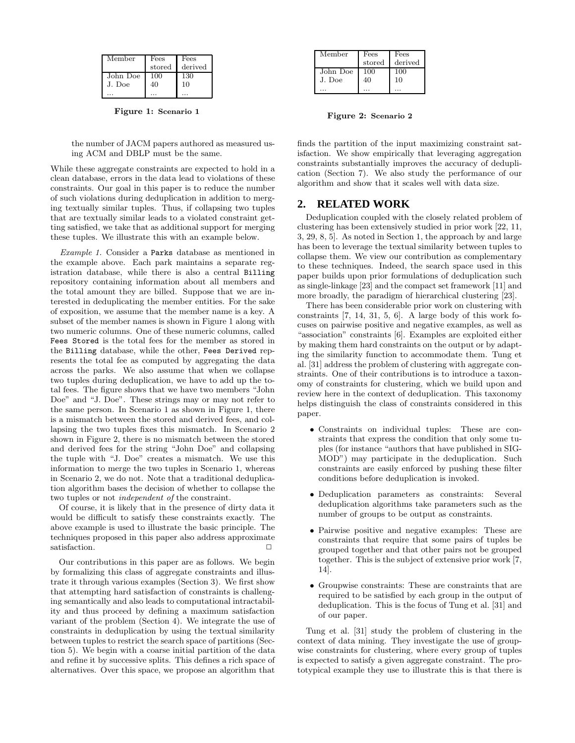| Member   | Fees   | Fees    |
|----------|--------|---------|
|          | stored | derived |
| John Doe | 100    | 130     |
| J. Doe   | 40     | 10      |
|          |        |         |

Figure 1: Scenario 1

the number of JACM papers authored as measured using ACM and DBLP must be the same.

While these aggregate constraints are expected to hold in a clean database, errors in the data lead to violations of these constraints. Our goal in this paper is to reduce the number of such violations during deduplication in addition to merging textually similar tuples. Thus, if collapsing two tuples that are textually similar leads to a violated constraint getting satisfied, we take that as additional support for merging these tuples. We illustrate this with an example below.

Example 1. Consider a Parks database as mentioned in the example above. Each park maintains a separate registration database, while there is also a central Billing repository containing information about all members and the total amount they are billed. Suppose that we are interested in deduplicating the member entities. For the sake of exposition, we assume that the member name is a key. A subset of the member names is shown in Figure 1 along with two numeric columns. One of these numeric columns, called Fees Stored is the total fees for the member as stored in the Billing database, while the other, Fees Derived represents the total fee as computed by aggregating the data across the parks. We also assume that when we collapse two tuples during deduplication, we have to add up the total fees. The figure shows that we have two members "John Doe" and "J. Doe". These strings may or may not refer to the same person. In Scenario 1 as shown in Figure 1, there is a mismatch between the stored and derived fees, and collapsing the two tuples fixes this mismatch. In Scenario 2 shown in Figure 2, there is no mismatch between the stored and derived fees for the string "John Doe" and collapsing the tuple with "J. Doe" creates a mismatch. We use this information to merge the two tuples in Scenario 1, whereas in Scenario 2, we do not. Note that a traditional deduplication algorithm bases the decision of whether to collapse the two tuples or not independent of the constraint.

Of course, it is likely that in the presence of dirty data it would be difficult to satisfy these constraints exactly. The above example is used to illustrate the basic principle. The techniques proposed in this paper also address approximate satisfaction.  $\Box$ 

Our contributions in this paper are as follows. We begin by formalizing this class of aggregate constraints and illustrate it through various examples (Section 3). We first show that attempting hard satisfaction of constraints is challenging semantically and also leads to computational intractability and thus proceed by defining a maximum satisfaction variant of the problem (Section 4). We integrate the use of constraints in deduplication by using the textual similarity between tuples to restrict the search space of partitions (Section 5). We begin with a coarse initial partition of the data and refine it by successive splits. This defines a rich space of alternatives. Over this space, we propose an algorithm that

| Member   | Fees   | Fees    |
|----------|--------|---------|
|          | stored | derived |
| John Doe | 100    | 100     |
| J. Doe   | 40     | 10      |
|          |        |         |

Figure 2: Scenario 2

finds the partition of the input maximizing constraint satisfaction. We show empirically that leveraging aggregation constraints substantially improves the accuracy of deduplication (Section 7). We also study the performance of our algorithm and show that it scales well with data size.

# **2. RELATED WORK**

Deduplication coupled with the closely related problem of clustering has been extensively studied in prior work [22, 11, 3, 29, 8, 5]. As noted in Section 1, the approach by and large has been to leverage the textual similarity between tuples to collapse them. We view our contribution as complementary to these techniques. Indeed, the search space used in this paper builds upon prior formulations of deduplication such as single-linkage [23] and the compact set framework [11] and more broadly, the paradigm of hierarchical clustering [23].

There has been considerable prior work on clustering with constraints [7, 14, 31, 5, 6]. A large body of this work focuses on pairwise positive and negative examples, as well as "association" constraints [6]. Examples are exploited either by making them hard constraints on the output or by adapting the similarity function to accommodate them. Tung et al. [31] address the problem of clustering with aggregate constraints. One of their contributions is to introduce a taxonomy of constraints for clustering, which we build upon and review here in the context of deduplication. This taxonomy helps distinguish the class of constraints considered in this paper.

- Constraints on individual tuples: These are constraints that express the condition that only some tuples (for instance "authors that have published in SIG-MOD") may participate in the deduplication. Such constraints are easily enforced by pushing these filter conditions before deduplication is invoked.
- Deduplication parameters as constraints: Several deduplication algorithms take parameters such as the number of groups to be output as constraints.
- Pairwise positive and negative examples: These are constraints that require that some pairs of tuples be grouped together and that other pairs not be grouped together. This is the subject of extensive prior work [7, 14].
- Groupwise constraints: These are constraints that are required to be satisfied by each group in the output of deduplication. This is the focus of Tung et al. [31] and of our paper.

Tung et al. [31] study the problem of clustering in the context of data mining. They investigate the use of groupwise constraints for clustering, where every group of tuples is expected to satisfy a given aggregate constraint. The prototypical example they use to illustrate this is that there is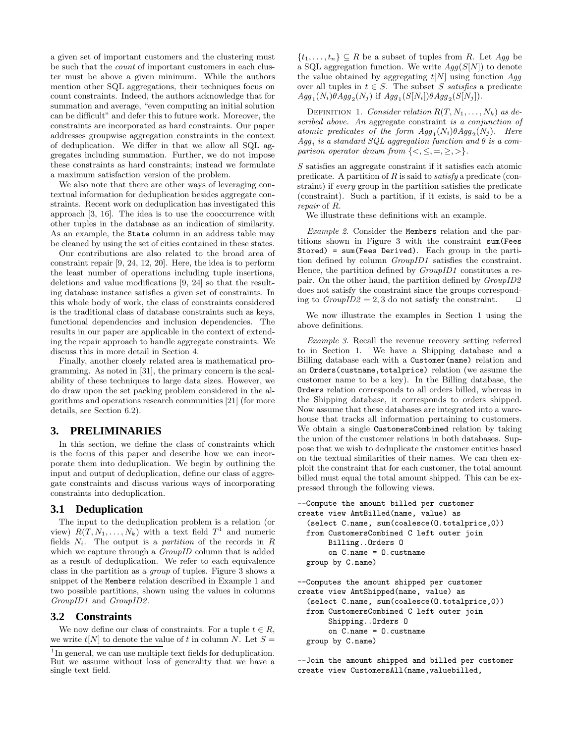a given set of important customers and the clustering must be such that the count of important customers in each cluster must be above a given minimum. While the authors mention other SQL aggregations, their techniques focus on count constraints. Indeed, the authors acknowledge that for summation and average, "even computing an initial solution can be difficult" and defer this to future work. Moreover, the constraints are incorporated as hard constraints. Our paper addresses groupwise aggregation constraints in the context of deduplication. We differ in that we allow all SQL aggregates including summation. Further, we do not impose these constraints as hard constraints; instead we formulate a maximum satisfaction version of the problem.

We also note that there are other ways of leveraging contextual information for deduplication besides aggregate constraints. Recent work on deduplication has investigated this approach [3, 16]. The idea is to use the cooccurrence with other tuples in the database as an indication of similarity. As an example, the State column in an address table may be cleaned by using the set of cities contained in these states.

Our contributions are also related to the broad area of constraint repair [9, 24, 12, 20]. Here, the idea is to perform the least number of operations including tuple insertions, deletions and value modifications [9, 24] so that the resulting database instance satisfies a given set of constraints. In this whole body of work, the class of constraints considered is the traditional class of database constraints such as keys, functional dependencies and inclusion dependencies. The results in our paper are applicable in the context of extending the repair approach to handle aggregate constraints. We discuss this in more detail in Section 4.

Finally, another closely related area is mathematical programming. As noted in [31], the primary concern is the scalability of these techniques to large data sizes. However, we do draw upon the set packing problem considered in the algorithms and operations research communities [21] (for more details, see Section 6.2).

# **3. PRELIMINARIES**

In this section, we define the class of constraints which is the focus of this paper and describe how we can incorporate them into deduplication. We begin by outlining the input and output of deduplication, define our class of aggregate constraints and discuss various ways of incorporating constraints into deduplication.

## **3.1 Deduplication**

The input to the deduplication problem is a relation (or view)  $R(T, N_1, \ldots, N_k)$  with a text field  $T<sup>1</sup>$  and numeric fields  $N_i$ . The output is a *partition* of the records in R which we capture through a *GroupID* column that is added as a result of deduplication. We refer to each equivalence class in the partition as a group of tuples. Figure 3 shows a snippet of the Members relation described in Example 1 and two possible partitions, shown using the values in columns GroupID1 and GroupID2.

#### **3.2 Constraints**

We now define our class of constraints. For a tuple  $t \in R$ , we write  $t[N]$  to denote the value of t in column N. Let  $S =$ 

 $\{t_1, \ldots, t_n\} \subseteq R$  be a subset of tuples from R. Let Agg be a SQL aggregation function. We write  $Agg(S[N])$  to denote the value obtained by aggregating  $t[N]$  using function  $A_{qq}$ over all tuples in  $t \in S$ . The subset S satisfies a predicate  $Agg_1(N_i)\theta Agg_2(N_j)$  if  $Agg_1(S[N_i])\theta Agg_2(S[N_j]).$ 

DEFINITION 1. Consider relation  $R(T, N_1, \ldots, N_k)$  as described above. An aggregate constraint is a conjunction of atomic predicates of the form  $Agg_1(N_i)\theta Agg_2(N_j)$ . Here  $Agg_i$  is a standard SQL aggregation function and  $\theta$  is a comparison operator drawn from  $\{<,\leq,=,\geq,>\}.$ 

 $S$  satisfies an aggregate constraint if it satisfies each atomic predicate. A partition of  $R$  is said to *satisfy* a predicate (constraint) if every group in the partition satisfies the predicate (constraint). Such a partition, if it exists, is said to be a repair of R.

We illustrate these definitions with an example.

Example 2. Consider the Members relation and the partitions shown in Figure 3 with the constraint sum(Fees Stored) = sum(Fees Derived). Each group in the partition defined by column GroupID1 satisfies the constraint. Hence, the partition defined by GroupID1 constitutes a repair. On the other hand, the partition defined by GroupID2 does not satisfy the constraint since the groups corresponding to  $GroupID2=2,3$  do not satisfy the constraint.  $\square$ 

We now illustrate the examples in Section 1 using the above definitions.

Example 3. Recall the revenue recovery setting referred to in Section 1. We have a Shipping database and a Billing database each with a Customer(name) relation and an Orders(custname,totalprice) relation (we assume the customer name to be a key). In the Billing database, the Orders relation corresponds to all orders billed, whereas in the Shipping database, it corresponds to orders shipped. Now assume that these databases are integrated into a warehouse that tracks all information pertaining to customers. We obtain a single CustomersCombined relation by taking the union of the customer relations in both databases. Suppose that we wish to deduplicate the customer entities based on the textual similarities of their names. We can then exploit the constraint that for each customer, the total amount billed must equal the total amount shipped. This can be expressed through the following views.

```
--Compute the amount billed per customer
create view AmtBilled(name, value) as
  (select C.name, sum(coalesce(O.totalprice,0))
  from CustomersCombined C left outer join
       Billing..Orders O
       on C.name = O.custname
  group by C.name)
```

```
--Computes the amount shipped per customer
create view AmtShipped(name, value) as
  (select C.name, sum(coalesce(O.totalprice,0))
  from CustomersCombined C left outer join
       Shipping..Orders O
       on C.name = O.custname
  group by C.name)
```
--Join the amount shipped and billed per customer create view CustomersAll(name,valuebilled,

<sup>&</sup>lt;sup>1</sup>In general, we can use multiple text fields for deduplication. But we assume without loss of generality that we have a single text field.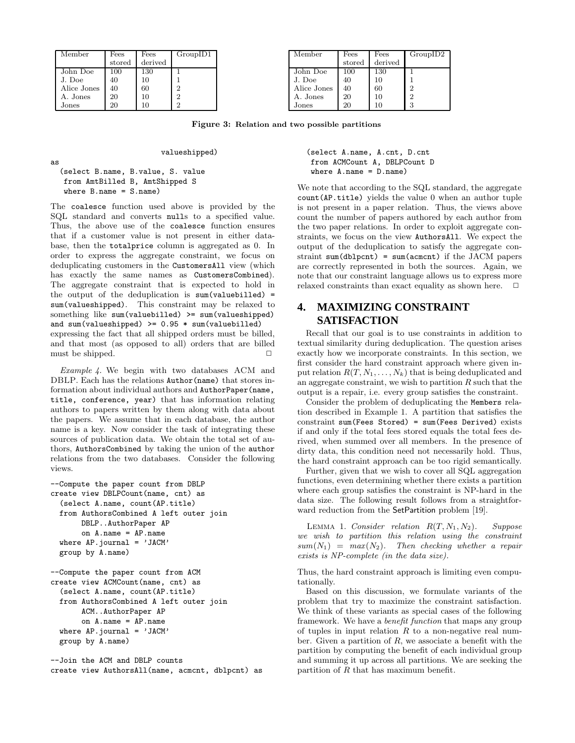| Member      | Fees   | Fees    | GroupID1       |
|-------------|--------|---------|----------------|
|             | stored | derived |                |
| John Doe    | 100    | 130     |                |
| J. Doe      | 40     | 10      |                |
| Alice Jones | 40     | 60      | $\overline{2}$ |
| A. Jones    | 20     | 10      | $\overline{2}$ |
| Jones       | 20     | 10      | 2              |

| Member      | Fees   | Fees    | GroupID2 |
|-------------|--------|---------|----------|
|             | stored | derived |          |
| John Doe    | 100    | 130     |          |
| J. Doe      | 40     | 10      |          |
| Alice Jones | 40     | 60      | 2        |
| A. Jones    | 20     | 10      | 2        |
| Jones       | 20     |         | 2        |

Figure 3: Relation and two possible partitions

#### valueshipped)

#### (select B.name, B.value, S. value from AmtBilled B, AmtShipped S where B.name = S.name)

as

The coalesce function used above is provided by the SQL standard and converts nulls to a specified value. Thus, the above use of the coalesce function ensures that if a customer value is not present in either database, then the totalprice column is aggregated as 0. In order to express the aggregate constraint, we focus on deduplicating customers in the CustomersAll view (which has exactly the same names as CustomersCombined). The aggregate constraint that is expected to hold in the output of the deduplication is sum(valuebilled) = sum(valueshipped). This constraint may be relaxed to something like sum(valuebilled) >= sum(valueshipped) and sum(valueshipped) >= 0.95 \* sum(valuebilled) expressing the fact that all shipped orders must be billed, and that most (as opposed to all) orders that are billed

must be shipped.  $\Box$ Example 4. We begin with two databases ACM and

DBLP. Each has the relations Author(name) that stores information about individual authors and AuthorPaper(name, title, conference, year) that has information relating authors to papers written by them along with data about the papers. We assume that in each database, the author name is a key. Now consider the task of integrating these sources of publication data. We obtain the total set of authors, AuthorsCombined by taking the union of the author relations from the two databases. Consider the following views.

```
--Compute the paper count from DBLP
create view DBLPCount(name, cnt) as
  (select A.name, count(AP.title)
 from AuthorsCombined A left outer join
       DBLP..AuthorPaper AP
       on A.name = AP.name
 where AP. journal = 'JACM'
 group by A.name)
--Compute the paper count from ACM
create view ACMCount(name, cnt) as
  (select A.name, count(AP.title)
 from AuthorsCombined A left outer join
       ACM..AuthorPaper AP
       on A.name = AP.name
 where AP. journal = 'JACM'
 group by A.name)
```

```
--Join the ACM and DBLP counts
create view AuthorsAll(name, acmcnt, dblpcnt) as
```

| (select A.name, A.cnt, D.cnt) |  |  |
|-------------------------------|--|--|
| from ACMCount A. DBLPCount D  |  |  |
| where $A.name = D.name$       |  |  |

We note that according to the SQL standard, the aggregate count(AP.title) yields the value 0 when an author tuple is not present in a paper relation. Thus, the views above count the number of papers authored by each author from the two paper relations. In order to exploit aggregate constraints, we focus on the view AuthorsAll. We expect the output of the deduplication to satisfy the aggregate constraint sum(dblpcnt) = sum(acmcnt) if the JACM papers are correctly represented in both the sources. Again, we note that our constraint language allows us to express more relaxed constraints than exact equality as shown here.  $\Box$ 

# **4. MAXIMIZING CONSTRAINT SATISFACTION**

Recall that our goal is to use constraints in addition to textual similarity during deduplication. The question arises exactly how we incorporate constraints. In this section, we first consider the hard constraint approach where given input relation  $R(T, N_1, \ldots, N_k)$  that is being deduplicated and an aggregate constraint, we wish to partition  $R$  such that the output is a repair, i.e. every group satisfies the constraint.

Consider the problem of deduplicating the Members relation described in Example 1. A partition that satisfies the constraint sum(Fees Stored) = sum(Fees Derived) exists if and only if the total fees stored equals the total fees derived, when summed over all members. In the presence of dirty data, this condition need not necessarily hold. Thus, the hard constraint approach can be too rigid semantically.

Further, given that we wish to cover all SQL aggregation functions, even determining whether there exists a partition where each group satisfies the constraint is NP-hard in the data size. The following result follows from a straightforward reduction from the SetPartition problem [19].

LEMMA 1. Consider relation  $R(T, N_1, N_2)$ . Suppose we wish to partition this relation using the constraint  $sum(N_1) = max(N_2)$ . Then checking whether a repair exists is NP-complete (in the data size).

Thus, the hard constraint approach is limiting even computationally.

Based on this discussion, we formulate variants of the problem that try to maximize the constraint satisfaction. We think of these variants as special cases of the following framework. We have a benefit function that maps any group of tuples in input relation  $R$  to a non-negative real number. Given a partition of  $R$ , we associate a benefit with the partition by computing the benefit of each individual group and summing it up across all partitions. We are seeking the partition of R that has maximum benefit.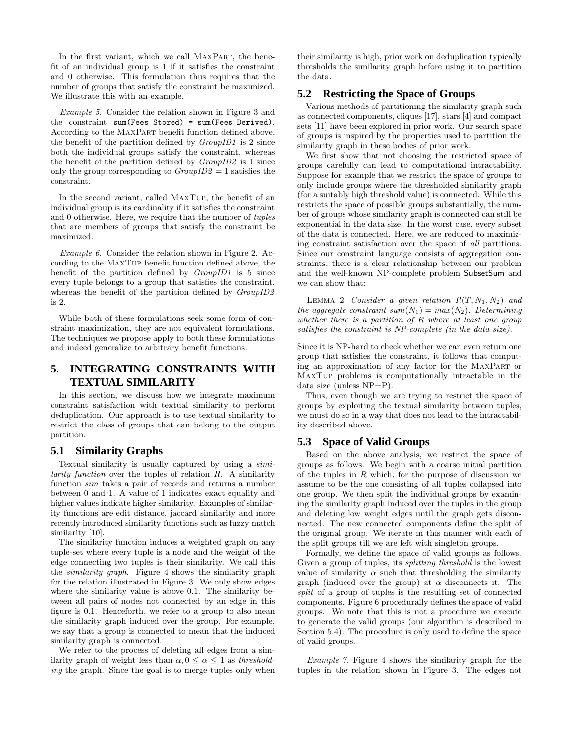In the first variant, which we call MaxPart, the benefit of an individual group is 1 if it satisfies the constraint and 0 otherwise. This formulation thus requires that the number of groups that satisfy the constraint be maximized. We illustrate this with an example.

Example 5. Consider the relation shown in Figure 3 and the constraint sum(Fees Stored) = sum(Fees Derived). According to the MaxPart benefit function defined above, the benefit of the partition defined by GroupID1 is 2 since both the individual groups satisfy the constraint, whereas the benefit of the partition defined by GroupID2 is 1 since only the group corresponding to  $GroupID2 = 1$  satisfies the constraint.

In the second variant, called MaxTup, the benefit of an individual group is its cardinality if it satisfies the constraint and 0 otherwise. Here, we require that the number of tuples that are members of groups that satisfy the constraint be maximized.

Example 6. Consider the relation shown in Figure 2. According to the MaxTup benefit function defined above, the benefit of the partition defined by GroupID1 is 5 since every tuple belongs to a group that satisfies the constraint, whereas the benefit of the partition defined by  $GroupID2$ is 2.

While both of these formulations seek some form of constraint maximization, they are not equivalent formulations. The techniques we propose apply to both these formulations and indeed generalize to arbitrary benefit functions.

# **5. INTEGRATING CONSTRAINTS WITH TEXTUAL SIMILARITY**

In this section, we discuss how we integrate maximum constraint satisfaction with textual similarity to perform deduplication. Our approach is to use textual similarity to restrict the class of groups that can belong to the output partition.

# **5.1 Similarity Graphs**

Textual similarity is usually captured by using a simi*larity function* over the tuples of relation  $R$ . A similarity function sim takes a pair of records and returns a number between 0 and 1. A value of 1 indicates exact equality and higher values indicate higher similarity. Examples of similarity functions are edit distance, jaccard similarity and more recently introduced similarity functions such as fuzzy match similarity [10].

The similarity function induces a weighted graph on any tuple-set where every tuple is a node and the weight of the edge connecting two tuples is their similarity. We call this the similarity graph. Figure 4 shows the similarity graph for the relation illustrated in Figure 3. We only show edges where the similarity value is above 0.1. The similarity between all pairs of nodes not connected by an edge in this figure is 0.1. Henceforth, we refer to a group to also mean the similarity graph induced over the group. For example, we say that a group is connected to mean that the induced similarity graph is connected.

We refer to the process of deleting all edges from a similarity graph of weight less than  $\alpha, 0 \leq \alpha \leq 1$  as thresholding the graph. Since the goal is to merge tuples only when their similarity is high, prior work on deduplication typically thresholds the similarity graph before using it to partition the data.

# **5.2 Restricting the Space of Groups**

Various methods of partitioning the similarity graph such as connected components, cliques [17], stars [4] and compact sets [11] have been explored in prior work. Our search space of groups is inspired by the properties used to partition the similarity graph in these bodies of prior work.

We first show that not choosing the restricted space of groups carefully can lead to computational intractability. Suppose for example that we restrict the space of groups to only include groups where the thresholded similarity graph (for a suitably high threshold value) is connected. While this restricts the space of possible groups substantially, the number of groups whose similarity graph is connected can still be exponential in the data size. In the worst case, every subset of the data is connected. Here, we are reduced to maximizing constraint satisfaction over the space of all partitions. Since our constraint language consists of aggregation constraints, there is a clear relationship between our problem and the well-known NP-complete problem SubsetSum and we can show that:

LEMMA 2. Consider a given relation  $R(T, N_1, N_2)$  and the aggregate constraint sum $(N_1) = max(N_2)$ . Determining whether there is a partition of  $R$  where at least one group satisfies the constraint is NP-complete (in the data size).

Since it is NP-hard to check whether we can even return one group that satisfies the constraint, it follows that computing an approximation of any factor for the MAXPART or MaxTup problems is computationally intractable in the data size (unless NP=P).

Thus, even though we are trying to restrict the space of groups by exploiting the textual similarity between tuples, we must do so in a way that does not lead to the intractability described above.

# **5.3 Space of Valid Groups**

Based on the above analysis, we restrict the space of groups as follows. We begin with a coarse initial partition of the tuples in  $R$  which, for the purpose of discussion we assume to be the one consisting of all tuples collapsed into one group. We then split the individual groups by examining the similarity graph induced over the tuples in the group and deleting low weight edges until the graph gets disconnected. The new connected components define the split of the original group. We iterate in this manner with each of the split groups till we are left with singleton groups.

Formally, we define the space of valid groups as follows. Given a group of tuples, its splitting threshold is the lowest value of similarity  $\alpha$  such that thresholding the similarity graph (induced over the group) at  $\alpha$  disconnects it. The split of a group of tuples is the resulting set of connected components. Figure 6 procedurally defines the space of valid groups. We note that this is not a procedure we execute to generate the valid groups (our algorithm is described in Section 5.4). The procedure is only used to define the space of valid groups.

Example 7. Figure 4 shows the similarity graph for the tuples in the relation shown in Figure 3. The edges not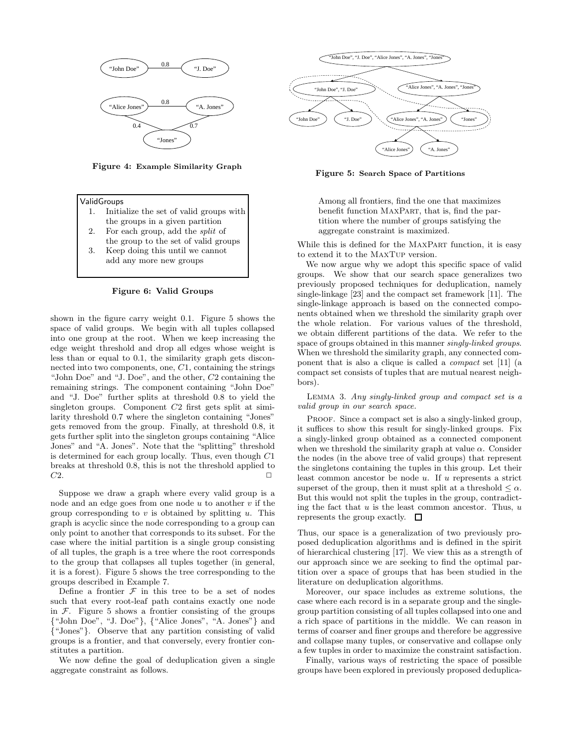

Figure 4: Example Similarity Graph

ValidGroups

- 1. Initialize the set of valid groups with the groups in a given partition
- 2. For each group, add the split of the group to the set of valid groups
- 3. Keep doing this until we cannot add any more new groups

|  |  |  |  | Figure 6: Valid Groups |
|--|--|--|--|------------------------|
|--|--|--|--|------------------------|

shown in the figure carry weight 0.1. Figure 5 shows the space of valid groups. We begin with all tuples collapsed into one group at the root. When we keep increasing the edge weight threshold and drop all edges whose weight is less than or equal to 0.1, the similarity graph gets disconnected into two components, one, C1, containing the strings "John Doe" and "J. Doe", and the other, C2 containing the remaining strings. The component containing "John Doe" and "J. Doe" further splits at threshold 0.8 to yield the singleton groups. Component C2 first gets split at similarity threshold 0.7 where the singleton containing "Jones" gets removed from the group. Finally, at threshold 0.8, it gets further split into the singleton groups containing "Alice Jones" and "A. Jones". Note that the "splitting" threshold is determined for each group locally. Thus, even though C1 breaks at threshold 0.8, this is not the threshold applied to  $C2.$ 

Suppose we draw a graph where every valid group is a node and an edge goes from one node  $u$  to another  $v$  if the group corresponding to  $v$  is obtained by splitting  $u$ . This graph is acyclic since the node corresponding to a group can only point to another that corresponds to its subset. For the case where the initial partition is a single group consisting of all tuples, the graph is a tree where the root corresponds to the group that collapses all tuples together (in general, it is a forest). Figure 5 shows the tree corresponding to the groups described in Example 7.

Define a frontier  $\mathcal F$  in this tree to be a set of nodes such that every root-leaf path contains exactly one node in  $\mathcal{F}$ . Figure 5 shows a frontier consisting of the groups {"John Doe", "J. Doe"}, {"Alice Jones", "A. Jones"} and {"Jones"}. Observe that any partition consisting of valid groups is a frontier, and that conversely, every frontier constitutes a partition.

We now define the goal of deduplication given a single aggregate constraint as follows.



Figure 5: Search Space of Partitions

Among all frontiers, find the one that maximizes benefit function MaxPart, that is, find the partition where the number of groups satisfying the aggregate constraint is maximized.

While this is defined for the MAXPART function, it is easy to extend it to the MaxTup version.

We now argue why we adopt this specific space of valid groups. We show that our search space generalizes two previously proposed techniques for deduplication, namely single-linkage [23] and the compact set framework [11]. The single-linkage approach is based on the connected components obtained when we threshold the similarity graph over the whole relation. For various values of the threshold, we obtain different partitions of the data. We refer to the space of groups obtained in this manner *singly-linked groups*. When we threshold the similarity graph, any connected component that is also a clique is called a compact set [11] (a compact set consists of tuples that are mutual nearest neighbors).

Lemma 3. Any singly-linked group and compact set is a valid group in our search space.

PROOF. Since a compact set is also a singly-linked group, it suffices to show this result for singly-linked groups. Fix a singly-linked group obtained as a connected component when we threshold the similarity graph at value  $\alpha$ . Consider the nodes (in the above tree of valid groups) that represent the singletons containing the tuples in this group. Let their least common ancestor be node u. If u represents a strict superset of the group, then it must split at a threshold  $\leq \alpha$ . But this would not split the tuples in the group, contradicting the fact that  $u$  is the least common ancestor. Thus,  $u$ represents the group exactly.  $\Box$ 

Thus, our space is a generalization of two previously proposed deduplication algorithms and is defined in the spirit of hierarchical clustering [17]. We view this as a strength of our approach since we are seeking to find the optimal partition over a space of groups that has been studied in the literature on deduplication algorithms.

Moreover, our space includes as extreme solutions, the case where each record is in a separate group and the singlegroup partition consisting of all tuples collapsed into one and a rich space of partitions in the middle. We can reason in terms of coarser and finer groups and therefore be aggressive and collapse many tuples, or conservative and collapse only a few tuples in order to maximize the constraint satisfaction.

Finally, various ways of restricting the space of possible groups have been explored in previously proposed deduplica-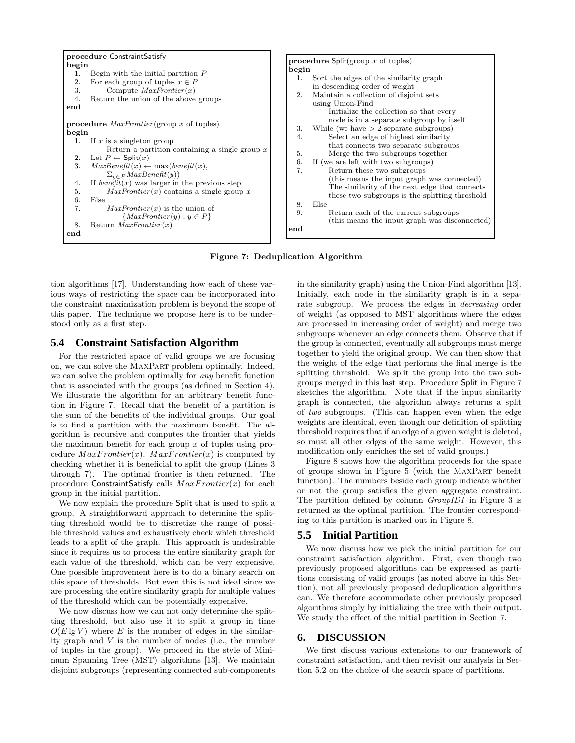```
procedure ConstraintSatisfy
begin
  1. Begin with the initial partition P<br>2. For each group of tuples x \in PFor each group of tuples x \in P3. Compute MaxFrontier(x)4. Return the union of the above groups
end
procedure \textit{MaxFrontier}(\text{group } x \text{ of tuples})begin
  1. If x is a singleton group
           Return a partition containing a single group x2. Let P \leftarrow Split(x)3. MaxBenefit(x) \leftarrow max(benefit(x)),\Sigma_{y \in P} MaxBenefit(y))
  4. If \mathit{benefit}(x) was larger in the previous step
  5. MaxFrontier(x) contains a single group x
  6. Else
  7. MaxFrontier(x) is the union of
                {MaxFrontier(y) : y \in P}8. Return MaxFrontier(x)end
                                                                 procedure Split(group x of tuples)begin
                                                                   1. Sort the edges of the similarity graph
                                                                       in descending order of weight
                                                                   2. Maintain a collection of disjoint sets
                                                                       using Union-Find
                                                                            Initialize the collection so that every
                                                                            node is in a separate subgroup by itself
                                                                   3. While (we have > 2 separate subgroups)
                                                                   4. Select an edge of highest similarity
                                                                            that connects two separate subgroups
                                                                   5. Merge the two subgroups together
                                                                   6. If (we are left with two subgroups)
                                                                   7. Return these two subgroups
                                                                            (this means the input graph was connected)
                                                                            The similarity of the next edge that connects
                                                                            these two subgroups is the splitting threshold
                                                                   8. Else
                                                                   9. Return each of the current subgroups
                                                                            (this means the input graph was disconnected)
                                                                 end
```
Figure 7: Deduplication Algorithm

tion algorithms [17]. Understanding how each of these various ways of restricting the space can be incorporated into the constraint maximization problem is beyond the scope of this paper. The technique we propose here is to be understood only as a first step.

#### **5.4 Constraint Satisfaction Algorithm**

For the restricted space of valid groups we are focusing on, we can solve the MaxPart problem optimally. Indeed, we can solve the problem optimally for any benefit function that is associated with the groups (as defined in Section 4). We illustrate the algorithm for an arbitrary benefit function in Figure 7. Recall that the benefit of a partition is the sum of the benefits of the individual groups. Our goal is to find a partition with the maximum benefit. The algorithm is recursive and computes the frontier that yields the maximum benefit for each group  $x$  of tuples using procedure  $MaxFrontier(x)$ .  $MaxFrontier(x)$  is computed by checking whether it is beneficial to split the group (Lines 3 through 7). The optimal frontier is then returned. The procedure ConstraintSatisfy calls  $MaxFrontier(x)$  for each group in the initial partition.

We now explain the procedure Split that is used to split a group. A straightforward approach to determine the splitting threshold would be to discretize the range of possible threshold values and exhaustively check which threshold leads to a split of the graph. This approach is undesirable since it requires us to process the entire similarity graph for each value of the threshold, which can be very expensive. One possible improvement here is to do a binary search on this space of thresholds. But even this is not ideal since we are processing the entire similarity graph for multiple values of the threshold which can be potentially expensive.

We now discuss how we can not only determine the splitting threshold, but also use it to split a group in time  $O(E \lg V)$  where E is the number of edges in the similarity graph and V is the number of nodes (i.e., the number of tuples in the group). We proceed in the style of Minimum Spanning Tree (MST) algorithms [13]. We maintain disjoint subgroups (representing connected sub-components in the similarity graph) using the Union-Find algorithm [13]. Initially, each node in the similarity graph is in a separate subgroup. We process the edges in decreasing order of weight (as opposed to MST algorithms where the edges are processed in increasing order of weight) and merge two subgroups whenever an edge connects them. Observe that if the group is connected, eventually all subgroups must merge together to yield the original group. We can then show that the weight of the edge that performs the final merge is the splitting threshold. We split the group into the two subgroups merged in this last step. Procedure Split in Figure 7 sketches the algorithm. Note that if the input similarity graph is connected, the algorithm always returns a split of two subgroups. (This can happen even when the edge weights are identical, even though our definition of splitting threshold requires that if an edge of a given weight is deleted, so must all other edges of the same weight. However, this modification only enriches the set of valid groups.)

Figure 8 shows how the algorithm proceeds for the space of groups shown in Figure 5 (with the MaxPart benefit function). The numbers beside each group indicate whether or not the group satisfies the given aggregate constraint. The partition defined by column GroupID1 in Figure 3 is returned as the optimal partition. The frontier corresponding to this partition is marked out in Figure 8.

# **5.5 Initial Partition**

We now discuss how we pick the initial partition for our constraint satisfaction algorithm. First, even though two previously proposed algorithms can be expressed as partitions consisting of valid groups (as noted above in this Section), not all previously proposed deduplication algorithms can. We therefore accommodate other previously proposed algorithms simply by initializing the tree with their output. We study the effect of the initial partition in Section 7.

#### **6. DISCUSSION**

We first discuss various extensions to our framework of constraint satisfaction, and then revisit our analysis in Section 5.2 on the choice of the search space of partitions.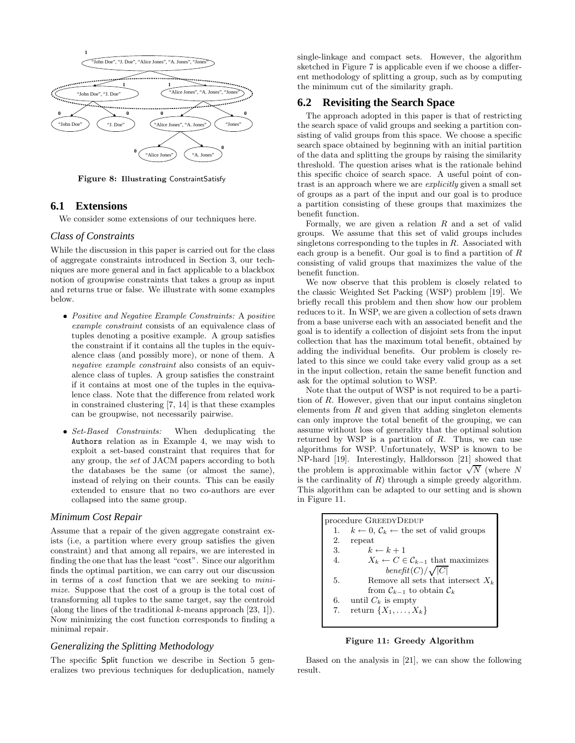

Figure 8: Illustrating ConstraintSatisfy

# **6.1 Extensions**

We consider some extensions of our techniques here.

#### *Class of Constraints*

While the discussion in this paper is carried out for the class of aggregate constraints introduced in Section 3, our techniques are more general and in fact applicable to a blackbox notion of groupwise constraints that takes a group as input and returns true or false. We illustrate with some examples below.

- Positive and Negative Example Constraints: A positive example constraint consists of an equivalence class of tuples denoting a positive example. A group satisfies the constraint if it contains all the tuples in the equivalence class (and possibly more), or none of them. A negative example constraint also consists of an equivalence class of tuples. A group satisfies the constraint if it contains at most one of the tuples in the equivalence class. Note that the difference from related work in constrained clustering [7, 14] is that these examples can be groupwise, not necessarily pairwise.
- Set-Based Constraints: When deduplicating the Authors relation as in Example 4, we may wish to exploit a set-based constraint that requires that for any group, the set of JACM papers according to both the databases be the same (or almost the same), instead of relying on their counts. This can be easily extended to ensure that no two co-authors are ever collapsed into the same group.

#### *Minimum Cost Repair*

Assume that a repair of the given aggregate constraint exists (i.e, a partition where every group satisfies the given constraint) and that among all repairs, we are interested in finding the one that has the least "cost". Since our algorithm finds the optimal partition, we can carry out our discussion in terms of a cost function that we are seeking to minimize. Suppose that the cost of a group is the total cost of transforming all tuples to the same target, say the centroid (along the lines of the traditional k-means approach [23, 1]). Now minimizing the cost function corresponds to finding a minimal repair.

#### *Generalizing the Splitting Methodology*

The specific Split function we describe in Section 5 generalizes two previous techniques for deduplication, namely

single-linkage and compact sets. However, the algorithm sketched in Figure 7 is applicable even if we choose a different methodology of splitting a group, such as by computing the minimum cut of the similarity graph.

#### **6.2 Revisiting the Search Space**

The approach adopted in this paper is that of restricting the search space of valid groups and seeking a partition consisting of valid groups from this space. We choose a specific search space obtained by beginning with an initial partition of the data and splitting the groups by raising the similarity threshold. The question arises what is the rationale behind this specific choice of search space. A useful point of contrast is an approach where we are explicitly given a small set of groups as a part of the input and our goal is to produce a partition consisting of these groups that maximizes the benefit function.

Formally, we are given a relation  $R$  and a set of valid groups. We assume that this set of valid groups includes singletons corresponding to the tuples in  $R$ . Associated with each group is a benefit. Our goal is to find a partition of R consisting of valid groups that maximizes the value of the benefit function.

We now observe that this problem is closely related to the classic Weighted Set Packing (WSP) problem [19]. We briefly recall this problem and then show how our problem reduces to it. In WSP, we are given a collection of sets drawn from a base universe each with an associated benefit and the goal is to identify a collection of disjoint sets from the input collection that has the maximum total benefit, obtained by adding the individual benefits. Our problem is closely related to this since we could take every valid group as a set in the input collection, retain the same benefit function and ask for the optimal solution to WSP.

Note that the output of WSP is not required to be a partition of R. However, given that our input contains singleton elements from  $R$  and given that adding singleton elements can only improve the total benefit of the grouping, we can assume without loss of generality that the optimal solution returned by WSP is a partition of R. Thus, we can use algorithms for WSP. Unfortunately, WSP is known to be NP-hard [19]. Interestingly, Halldorsson [21] showed that the problem is approximable within factor  $\sqrt{N}$  (where N is the cardinality of  $R$ ) through a simple greedy algorithm. This algorithm can be adapted to our setting and is shown in Figure 11.

| procedure GREEDYDEDUP |                                                                    |  |  |  |  |
|-----------------------|--------------------------------------------------------------------|--|--|--|--|
| 1.                    | $k \leftarrow 0, \mathcal{C}_k \leftarrow$ the set of valid groups |  |  |  |  |
| 2.                    | repeat                                                             |  |  |  |  |
| 3.                    | $k \leftarrow k+1$                                                 |  |  |  |  |
| 4.                    | $X_k \leftarrow C \in \mathcal{C}_{k-1}$ that maximizes            |  |  |  |  |
|                       | $\mathit{benefit}(C)/\sqrt{ C }$                                   |  |  |  |  |
| 5.                    | Remove all sets that intersect $X_k$                               |  |  |  |  |
|                       | from $\mathcal{C}_{k-1}$ to obtain $\mathcal{C}_k$                 |  |  |  |  |
| 6.                    | until $C_k$ is empty                                               |  |  |  |  |
|                       | 7. return $\{X_1, , X_k\}$                                         |  |  |  |  |
|                       |                                                                    |  |  |  |  |



Based on the analysis in [21], we can show the following result.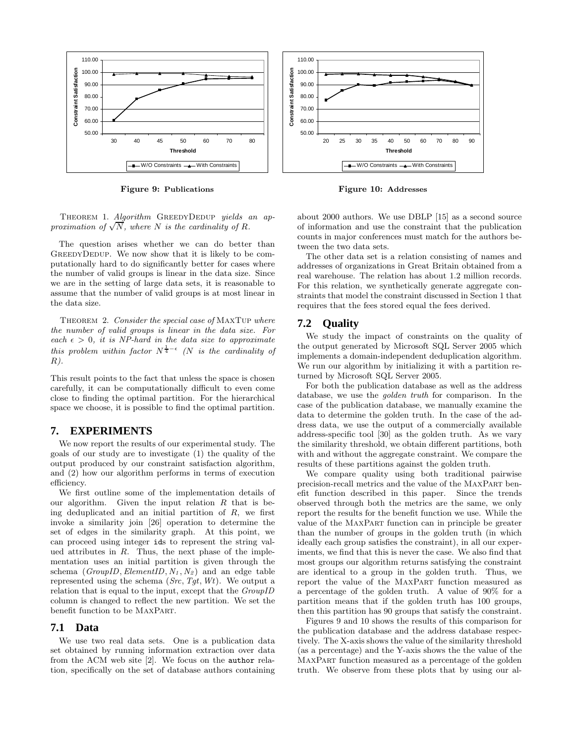

Figure 9: Publications

Figure 10: Addresses

THEOREM 1. Algorithm GREEDYDEDUP yields an approximation of  $\sqrt{N}$ , where N is the cardinality of R.

The question arises whether we can do better than GREEDYDEDUP. We now show that it is likely to be computationally hard to do significantly better for cases where the number of valid groups is linear in the data size. Since we are in the setting of large data sets, it is reasonable to assume that the number of valid groups is at most linear in the data size.

THEOREM 2. Consider the special case of MAXTUP where the number of valid groups is linear in the data size. For each  $\epsilon > 0$ , it is NP-hard in the data size to approximate this problem within factor  $N^{\frac{1}{4}-\epsilon}$  (N is the cardinality of  $R$ ).

This result points to the fact that unless the space is chosen carefully, it can be computationally difficult to even come close to finding the optimal partition. For the hierarchical space we choose, it is possible to find the optimal partition.

# **7. EXPERIMENTS**

We now report the results of our experimental study. The goals of our study are to investigate (1) the quality of the output produced by our constraint satisfaction algorithm, and (2) how our algorithm performs in terms of execution efficiency.

We first outline some of the implementation details of our algorithm. Given the input relation  $R$  that is being deduplicated and an initial partition of  $R$ , we first invoke a similarity join [26] operation to determine the set of edges in the similarity graph. At this point, we can proceed using integer ids to represent the string valued attributes in  $R$ . Thus, the next phase of the implementation uses an initial partition is given through the schema ( $GroupID,ElementID, N_1, N_2$ ) and an edge table represented using the schema  $(Src, Tgt, Wt)$ . We output a relation that is equal to the input, except that the *GroupID* column is changed to reflect the new partition. We set the benefit function to be MaxPart.

#### **7.1 Data**

We use two real data sets. One is a publication data set obtained by running information extraction over data from the ACM web site [2]. We focus on the author relation, specifically on the set of database authors containing

about 2000 authors. We use DBLP [15] as a second source of information and use the constraint that the publication counts in major conferences must match for the authors between the two data sets.

The other data set is a relation consisting of names and addresses of organizations in Great Britain obtained from a real warehouse. The relation has about 1.2 million records. For this relation, we synthetically generate aggregate constraints that model the constraint discussed in Section 1 that requires that the fees stored equal the fees derived.

# **7.2 Quality**

We study the impact of constraints on the quality of the output generated by Microsoft SQL Server 2005 which implements a domain-independent deduplication algorithm. We run our algorithm by initializing it with a partition returned by Microsoft SQL Server 2005.

For both the publication database as well as the address database, we use the golden truth for comparison. In the case of the publication database, we manually examine the data to determine the golden truth. In the case of the address data, we use the output of a commercially available address-specific tool [30] as the golden truth. As we vary the similarity threshold, we obtain different partitions, both with and without the aggregate constraint. We compare the results of these partitions against the golden truth.

We compare quality using both traditional pairwise precision-recall metrics and the value of the MaxPart benefit function described in this paper. Since the trends observed through both the metrics are the same, we only report the results for the benefit function we use. While the value of the MaxPart function can in principle be greater than the number of groups in the golden truth (in which ideally each group satisfies the constraint), in all our experiments, we find that this is never the case. We also find that most groups our algorithm returns satisfying the constraint are identical to a group in the golden truth. Thus, we report the value of the MaxPart function measured as a percentage of the golden truth. A value of 90% for a partition means that if the golden truth has 100 groups, then this partition has 90 groups that satisfy the constraint.

Figures 9 and 10 shows the results of this comparison for the publication database and the address database respectively. The X-axis shows the value of the similarity threshold (as a percentage) and the Y-axis shows the the value of the MaxPart function measured as a percentage of the golden truth. We observe from these plots that by using our al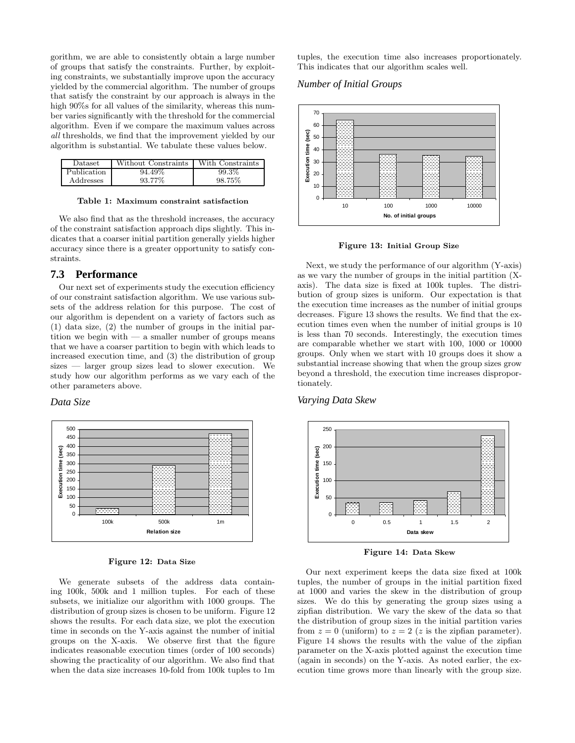gorithm, we are able to consistently obtain a large number of groups that satisfy the constraints. Further, by exploiting constraints, we substantially improve upon the accuracy yielded by the commercial algorithm. The number of groups that satisfy the constraint by our approach is always in the high  $90\%$  for all values of the similarity, whereas this number varies significantly with the threshold for the commercial algorithm. Even if we compare the maximum values across all thresholds, we find that the improvement yielded by our algorithm is substantial. We tabulate these values below.

| Dataset     | Without Constraints   With Constraints |        |
|-------------|----------------------------------------|--------|
| Publication | 94.49%                                 | 99.3%  |
| Addresses   | 93.77%                                 | 98.75% |

Table 1: Maximum constraint satisfaction

We also find that as the threshold increases, the accuracy of the constraint satisfaction approach dips slightly. This indicates that a coarser initial partition generally yields higher accuracy since there is a greater opportunity to satisfy constraints.

# **7.3 Performance**

Our next set of experiments study the execution efficiency of our constraint satisfaction algorithm. We use various subsets of the address relation for this purpose. The cost of our algorithm is dependent on a variety of factors such as (1) data size, (2) the number of groups in the initial partition we begin with  $-$  a smaller number of groups means that we have a coarser partition to begin with which leads to increased execution time, and (3) the distribution of group sizes — larger group sizes lead to slower execution. We study how our algorithm performs as we vary each of the other parameters above.

#### *Data Size*



Figure 12: Data Size

We generate subsets of the address data containing 100k, 500k and 1 million tuples. For each of these subsets, we initialize our algorithm with 1000 groups. The distribution of group sizes is chosen to be uniform. Figure 12 shows the results. For each data size, we plot the execution time in seconds on the Y-axis against the number of initial groups on the X-axis. We observe first that the figure indicates reasonable execution times (order of 100 seconds) showing the practicality of our algorithm. We also find that when the data size increases 10-fold from 100k tuples to 1m tuples, the execution time also increases proportionately. This indicates that our algorithm scales well.

#### *Number of Initial Groups*



Figure 13: Initial Group Size

Next, we study the performance of our algorithm (Y-axis) as we vary the number of groups in the initial partition (Xaxis). The data size is fixed at 100k tuples. The distribution of group sizes is uniform. Our expectation is that the execution time increases as the number of initial groups decreases. Figure 13 shows the results. We find that the execution times even when the number of initial groups is 10 is less than 70 seconds. Interestingly, the execution times are comparable whether we start with 100, 1000 or 10000 groups. Only when we start with 10 groups does it show a substantial increase showing that when the group sizes grow beyond a threshold, the execution time increases disproportionately.

#### *Varying Data Skew*



Figure 14: Data Skew

Our next experiment keeps the data size fixed at 100k tuples, the number of groups in the initial partition fixed at 1000 and varies the skew in the distribution of group sizes. We do this by generating the group sizes using a zipfian distribution. We vary the skew of the data so that the distribution of group sizes in the initial partition varies from  $z = 0$  (uniform) to  $z = 2$  (z is the zipfian parameter). Figure 14 shows the results with the value of the zipfian parameter on the X-axis plotted against the execution time (again in seconds) on the Y-axis. As noted earlier, the execution time grows more than linearly with the group size.